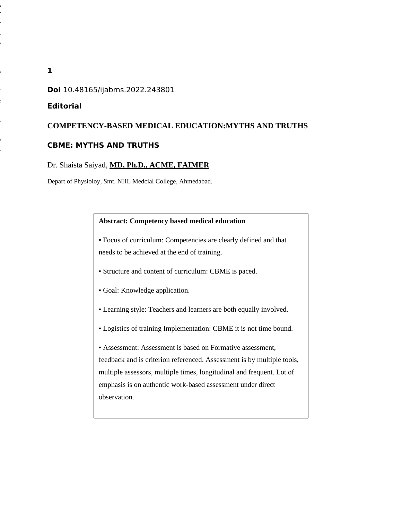# **Doi** 10.48165/ijabms.2022.243801

## **Editorial**

#### **COMPETENCY-BASED MEDICAL EDUCATION:MYTHS AND TRUTHS**

#### **CBME: MYTHS AND TRUTHS**

# Dr. Shaista Saiyad, **MD, Ph.D., ACME, FAIMER**

Depart of Physioloy, Smt. NHL Medcial College, Ahmedabad.

#### **Abstract: Competency based medical education**

**•** Focus of curriculum: Competencies are clearly defined and that needs to be achieved at the end of training.

- Structure and content of curriculum: CBME is paced.
- Goal: Knowledge application.
- Learning style: Teachers and learners are both equally involved.
- Logistics of training Implementation: CBME it is not time bound.

• Assessment: Assessment is based on Formative assessment, feedback and is criterion referenced. Assessment is by multiple tools, multiple assessors, multiple times, longitudinal and frequent. Lot of emphasis is on authentic work-based assessment under direct observation.

**1**

A  $\mathfrak{f}$  $\mathbf{f}$ a  $\mathfrak{c}$  $\mathbb{L}$  $\mathbb{R}^{\mathbb{Z}}$ e  $\mathbb{L}$ t s

a  $\mathbf{r}$ e a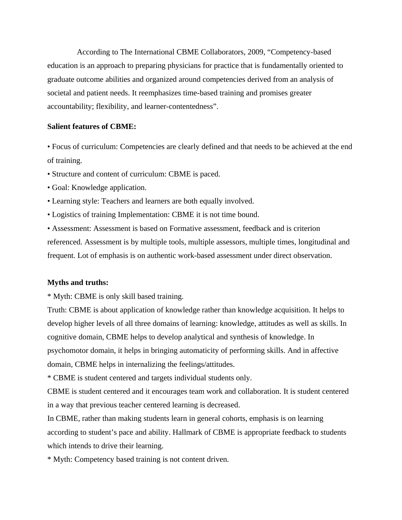According to The International CBME Collaborators, 2009, "Competency-based education is an approach to preparing physicians for practice that is fundamentally oriented to graduate outcome abilities and organized around competencies derived from an analysis of societal and patient needs. It reemphasizes time-based training and promises greater accountability; flexibility, and learner-contentedness".

# **Salient features of CBME:**

• Focus of curriculum: Competencies are clearly defined and that needs to be achieved at the end of training.

- Structure and content of curriculum: CBME is paced.
- Goal: Knowledge application.
- Learning style: Teachers and learners are both equally involved.
- Logistics of training Implementation: CBME it is not time bound.

• Assessment: Assessment is based on Formative assessment, feedback and is criterion referenced. Assessment is by multiple tools, multiple assessors, multiple times, longitudinal and frequent. Lot of emphasis is on authentic work-based assessment under direct observation.

## **Myths and truths:**

\* Myth: CBME is only skill based training.

Truth: CBME is about application of knowledge rather than knowledge acquisition. It helps to develop higher levels of all three domains of learning: knowledge, attitudes as well as skills. In cognitive domain, CBME helps to develop analytical and synthesis of knowledge. In psychomotor domain, it helps in bringing automaticity of performing skills. And in affective domain, CBME helps in internalizing the feelings/attitudes.

\* CBME is student centered and targets individual students only.

CBME is student centered and it encourages team work and collaboration. It is student centered in a way that previous teacher centered learning is decreased.

In CBME, rather than making students learn in general cohorts, emphasis is on learning according to student's pace and ability. Hallmark of CBME is appropriate feedback to students which intends to drive their learning.

\* Myth: Competency based training is not content driven.